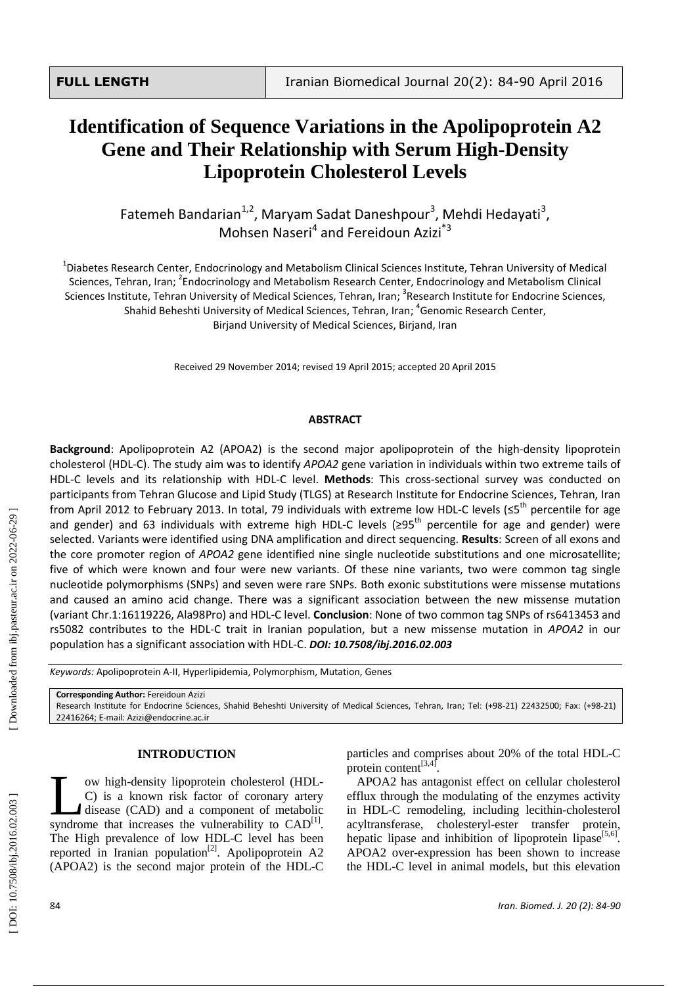# **Identification of Sequence Variation s in the Apolipoprotein A2 Gene and Their Relationship with Serum High -Density Lipoprotein Cholesterol Levels**

Fatemeh Bandarian<sup>1,2</sup>, Maryam Sadat Daneshpour<sup>3</sup>, Mehdi Hedayati<sup>3</sup>, Mohsen Naseri<sup>4</sup> and Fereidoun Azizi<sup>\*3</sup>

<sup>1</sup>Diabetes Research Center, Endocrinology and Metabolism Clinical Sciences Institute, Tehran University of Medical Sciences, Tehran, Iran; <sup>2</sup>Endocrinology and Metabolism Research Center, Endocrinology and Metabolism Clinical Sciences Institute, Tehran University of Medical Sciences, Tehran, Iran; <sup>3</sup>Research Institute for Endocrine Sciences, Shahid Beheshti University of Medical Sciences, Tehran, Iran; 4 Genomic Research Center, Birjand University of Medical Sciences, Birjand, Iran

Received 29 November 2014; revised 19 April 2015; accepted 20 April 2015

# **ABSTRACT**

Background: Apolipoprotein A2 (APOA2) is the second major apolipoprotein of the high-density lipoprotein cholesterol (HDL-C). The study aim was to identify *APOA2* gene variation in individuals within two extreme tails of HDL-C levels and its relationship with HDL-C level. Methods: This cross-sectional survey was conducted on participants from Tehran Glucose and Lipid Study (TLGS) at Research Institute for Endocrine Sciences, Tehran, Iran from April 2012 to February 2013. In total, 79 individuals with extreme low HDL-C levels (≤5<sup>th</sup> percentile for age and gender) and 63 individuals with extreme high HDL-C levels (≥95<sup>th</sup> percentile for age and gender) were selected. Variants were identified using DNA amplification and direct sequencing. **Results**: Screen of all exons and the core promoter region of *APOA2* gene identified nine single nucleotide substitutions and one microsatellite; five of which were known and four were new variants . Of these nine variants, two were common tag single nucleotide polymorphisms (SNPs) and seven were rare SNPs. Both exonic substitutions were missense mutatio ns and caused an amino acid change. There was a significant association between the new missense mutation (variant Chr.1:16119226, Ala9[8Pro\)](http://en.wikipedia.org/wiki/Proline) and HDL-C level. **Conclusion**: None of two common tag SNPs of rs6413453 and rs5082 contributes to the HDL-C trait in Iranian population, but a new missense mutation in *APOA2* in our population has a significant association with HDL -C. *DOI: 10 .7508/ibj.2016.02.003*

Keywords: Apolipoprotein A-II[, Hyperlipidemia,](http://www.ncbi.nlm.nih.gov/mesh?Db=mesh&Term=%22Hyperlipidemia%20%22%5bMESH%5d) Polymorphism, Mutation, Genes

# **INTRODUCTION**

ow high -density lipoprotein cholesterol (HDL - C) is a known risk factor of coronary artery disease (CAD) and a component of metabolic ow high-density lipoprotein cholesterol (HDL-C) is a known risk factor of coronary artery<br>disease (CAD) and a component of metabolic<br>syndrome that increases the vulnerability to CAD<sup>[1]</sup>. The High prevalence of low HDL -C level has been reported in Iranian population<sup>[2]</sup>. Apolipoprotein A2 (APOA2) is the second major protein of the HDL - C

particles and comprises about 20% of the total HDL -C protein content<sup>[3,4]</sup>.

APOA2 has antagonist effect on cellular cholesterol efflux through the modulating of the enzymes activity in HDL -C remodeling, including lecithin [-cholesterol](http://www.google.com/url?sa=t&rct=j&q=lcat&source=web&cd=1&cad=rja&ved=0CC0QFjAA&url=https%3A%2F%2Fen.wikipedia.org%2Fwiki%2FLecithin%25E2%2580%2594cholesterol_acyltransferase&ei=vtJ8UZu7G82M4gS2mIGwBw&usg=AFQjCNGMiT9GS_Osxo44oEGzSdkw3BVT6Q)  [acyltransferase,](http://www.google.com/url?sa=t&rct=j&q=lcat&source=web&cd=1&cad=rja&ved=0CC0QFjAA&url=https%3A%2F%2Fen.wikipedia.org%2Fwiki%2FLecithin%25E2%2580%2594cholesterol_acyltransferase&ei=vtJ8UZu7G82M4gS2mIGwBw&usg=AFQjCNGMiT9GS_Osxo44oEGzSdkw3BVT6Q) cholesteryl -ester transfer protein, hepatic lipase and inhibition of lipoprotein lipase<sup>[5,6]</sup>. APOA2 over -expression has been shown to increase the HDL -C level in animal model s, but this elevation

**Corresponding Author:** Fereido un Azizi Research Institute for Endocrine Sciences, Shahid Beheshti University of Medical Sciences, Tehran, Iran; Tel: (+98 -21) 22432500; Fax: (+98 -21 ) 22416264; E -mail: Azizi@endocrine.ac.ir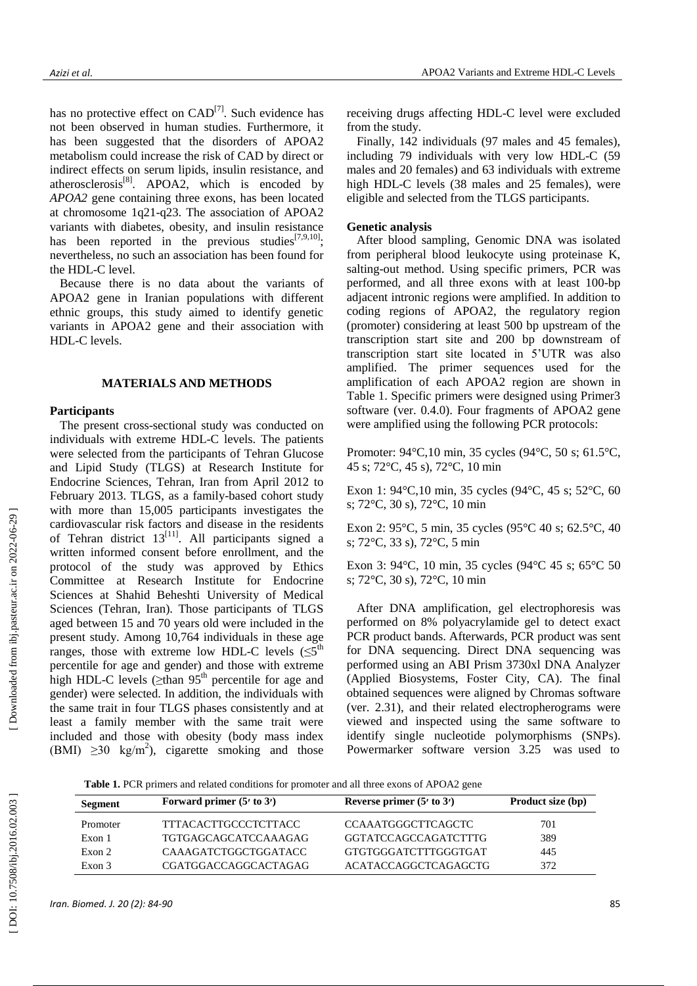has no protective effect on  $CAD^{[7]}$ . Such evidence has not been observed in human studies. Furthermore, it has been suggested that the disorders of APOA2 metabolism could increase the risk of CAD by direct or indirect effects on serum lipids, insulin resistance, and atherosclerosis<sup>[8]</sup>. APOA2, which is encoded by *APOA2* gene containing three exons, has been located at chromosome [1q21](http://www.ncbi.nlm.nih.gov/entrez/query.fcgi?db=gene&cmd=Retrieve&dopt=full_report&list_uids=335) -q23 . The association of APOA2 variants with diabetes, obesity, and insulin resistance has been reported in the previous studies<sup>[7,9,10]</sup>; nevertheless, no such an association has been found for the HDL - C level.

Because there is no data about the variants of APOA2 gene in Iranian population s with different ethnic groups, this study aimed to identify genetic variants in APOA2 gene and their association with HDL -C levels.

# **MATERIALS AND METHODS**

## **Participants**

The present cross -sectional study was conducted on individuals with extreme HDL -C levels. The patients were selected from the participants of Tehran Glucose and Lipid Study (TLGS) at Research Institute for Endocrine Sciences, Tehran, Iran from April 2012 to February 201 3 . TLGS, as a family -based cohort study with more than 15 ,005 participants investigates the cardiovascular risk factors and disease in the residents of Tehran district  $13^{[11]}$ . All participants signed a written informed consent before enrollment, and the protocol of the study was approved by Ethics Committee at Research Institute for Endocrine Sciences at Shahid Beheshti University of Medical Sciences (Tehran, Iran) . Those participants of TLGS aged between 15 and 70 years old were included in the present study. Among 10 ,764 individuals in these age ranges, those with extreme low HDL-C levels  $( \leq 5^{\text{th}}$ percentile for age and gender) and those with extreme high HDL-C levels ( $\geq$ than 95<sup>th</sup> percentile for age and gender) were selected. In addition, the individuals with the same trait in four TLGS phases consistently and at least a family member with the same trait were included and those with obesity (body mass index (BMI)  $\geq$ 30 kg/m<sup>2</sup>), cigarette smoking and those

receiving drugs affecting HDL -C level were excluded from the study.

Finally, 142 individuals (97 males and 45 females), including 79 individuals with very low HDL -C (59 males and 20 female s ) and 63 individuals with extreme high HDL -C levels (38 males and 25 female s ), were eligible and selected from the TLGS participants.

## **Genetic analysis**

After blood sampling, Genomic DNA was isolated from peripheral blood leukocyte using proteinase K, salting -out method. Using specific primers, PCR was performed , and all three exons with at least 100 -bp adjacent intronic regions were amplified. In addition to coding regions of APOA2, the regulatory region (promoter ) considering at least 500 bp upstream of the transcription start site and 200 bp downstream of transcription start site located in 5'UTR was also amplified . The primer sequence s used for the amplification of each APOA2 region are shown in Table 1. Specific primers were designed using Primer3 software (ver. 0.4.0). Four fragments of APOA2 gene were amplified using the following PCR protocols:

Promoter: 94°C,10 min, 35 cycles (94°C, 50 s; 61.5°C, 45 s ; 72°C, 45 s), 72°C, 10 min

Exon 1: 94°C,10 min, 35 cycles (94°C, 45 s; 52°C, 60 s ; 72°C, 30 s), 72°C, 10 min

Exon 2: 95°C, 5 min, 35 cycles (95°C 40 s; 62.5°C, 40 s ; 72°C, 33 s), 72°C, 5 min

Exon 3: 94°C, 10 min, 35 cycles (94°C 45 s; 65°C 50 s ; 72°C, 30 s), 72°C, 10 min

After DNA amplification, gel electrophoresis was performed on 8% polyacrylamide gel to detect exact PCR product bands. Afterwards, PCR product was sent for DNA sequencing. Direct DNA sequencing was performed using an ABI Prism 3730xl DNA Analyzer (Applied Biosystems, Foster City, CA). The final obtained sequences were aligned by Chromas software (ver. 2.31), and their related electropherograms were viewed and inspected using the same software to identify single nucleotide polymorphisms (SNPs). Power marker software version 3.25 was used to

 **Table 1.** PCR primers and related conditions for promoter and all three exons of APOA2 gene

| Segment  | Forward primer $(5'$ to $3')$ | Reverse primer $(5'$ to $3')$ | Product size (bp) |
|----------|-------------------------------|-------------------------------|-------------------|
| Promoter | TTTACACTTGCCCTCTTACC          | <b>CCAAATGGGCTTCAGCTC</b>     | 701               |
| Exon 1   | TGTGAGCAGCATCCAAAGAG          | <b>GGTATCCAGCCAGATCTTTG</b>   | 389               |
| Exon 2   | CAAAGATCTGGCTGGATACC          | <b>GTGTGGGATCTTTGGGTGAT</b>   | 445               |
| Exon 3   | CGATGGACCAGGCACTAGAG          | ACATACCAGGCTCAGAGCTG          | 372               |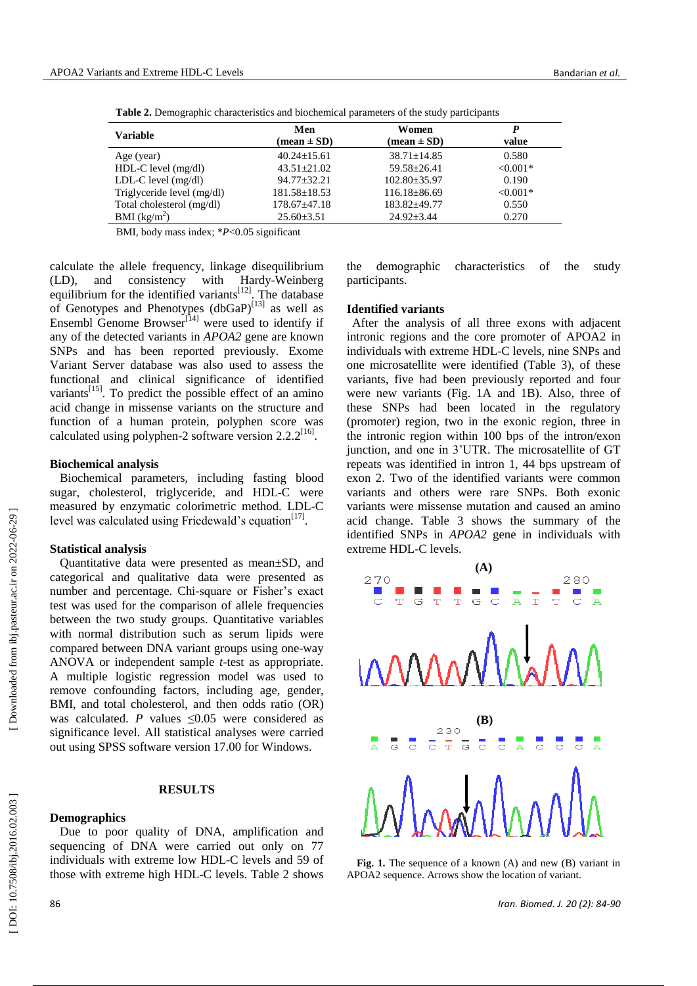| <b>Variable</b>            | Men<br>$(\text{mean} \pm \text{SD})$ | Women<br>$(\text{mean} \pm \text{SD})$ | P<br>value |
|----------------------------|--------------------------------------|----------------------------------------|------------|
| Age (year)                 | $40.24 \pm 15.61$                    | $38.71 + 14.85$                        | 0.580      |
| $HDL-C$ level $(mg/dl)$    | $43.51 + 21.02$                      | $59.58 + 26.41$                        | $< 0.001*$ |
| $LDL-C$ level $(mg/dl)$    | $94.77 + 32.21$                      | $102.80 \pm 35.97$                     | 0.190      |
| Triglyceride level (mg/dl) | $181.58 \pm 18.53$                   | $116.18\pm86.69$                       | $< 0.001*$ |
| Total cholesterol (mg/dl)  | $178.67 + 47.18$                     | 183.82+49.77                           | 0.550      |
| BMI $(kg/m^2)$             | $25.60 \pm 3.51$                     | $24.92 + 3.44$                         | 0.270      |
|                            |                                      |                                        |            |

 **Table 2.** Demographic characteristics and biochemical parameters of the study participants

BMI, body mass index; \* *P*<0.05 significant

calculate the allele frequency, linkage disequilibrium (LD), and consistency with Hardy -Weinberg equilibrium for the identified variants<sup>[12]</sup>. The database of Genotypes and Phenotypes (dbGaP)<sup>[13]</sup> as well as [Ensembl Genome Browser](http://www.google.com/url?sa=t&rct=j&q=ensemble%20genom%20browser&source=web&cd=1&cad=rja&ved=0CDMQFjAA&url=http%3A%2F%2Fwww.ensembl.org%2F&ei=Bu1GUb3_Juve7Abj5YC4Aw&usg=AFQjCNGHhk3qfjBABj-L6-4K4bwBW8fbow&bvm=bv.43828540,d.d2k) $^{[14]}$  were used to identify if any of the detected variants in *APOA 2* gene are known SNPs and has been reported previously. Exome Variant Server database was also used to assess the functional and clinical significance of identified variants<sup>[15]</sup>. To predict the possible effect of an amino acid change in missense variants on the structure and function of a human protein , polyphen score was calculated using polyphen-2 software version  $2.2.2^{[16]}$ .

## **Biochemical analysis**

Biochemical parameters, including fasting blood sugar, cholesterol, triglyceride, and HDL -C were measured by enzymatic colorimetric method. LDL -C level was calculated using Friedewald's equation<sup>[17]</sup>.

# **Statistical analysis**

Quantitative data were presented as mean±SD, and categorical and qualitative data were presented as number and percentage. Chi -square or Fisher's exact test was used for the comparison of allele frequencies between the two study groups. Quantitative variables with normal distribution such as serum lipids were compared between DNA variant groups using one -way ANOVA or independent sample *t* -test as appropriate. A multiple logistic regression model was used to remove confounding factors, including age, gender, BM I, and total cholesterol, and then odds ratio (OR) was calculated. P values  $\leq 0.05$  were considered as significance level. All statistical analyses were carried out using SPSS software version 17.00 for Windows.

# **RESULTS**

# **Demographics**

Due to poor quality of DNA, amplification and sequencing of DNA were carried out only on 77 individuals with extreme low HDL -C levels and 59 of those with extreme high HDL -C levels . Table 2 shows

the demographic characteristics of the study participants.

### **Identified variants**

After the analysis of all three exons with adjacent intronic regions and the core promoter of APOA2 in individuals with extreme HDL -C levels, nine SNP s and one microsatellite were identified (Table 3), of these variants, five had been previously reported and four were new variants (Fig. 1 A and 1 B ) . Also, three of these SNP s had been located in the regulatory (promoter) region, two in the exonic region, three in the intronic region within 100 bps of the intron/exon junction , and one in 3'UTR . The microsatellite of GT repeats was identified in intron 1, 44 bps upstream of exon 2. Two of the identified variants were common variants and others were rare SNPs. Both exonic variants were missense mutation and caused an amino acid change. Table 3 shows the summary of the identified SNP s in *APOA2* gene in individuals with extreme HDL-C levels.



Fig. 1. The sequence of a known (A) and new (B) variant in APOA2 sequence. Arrows show the location of variant.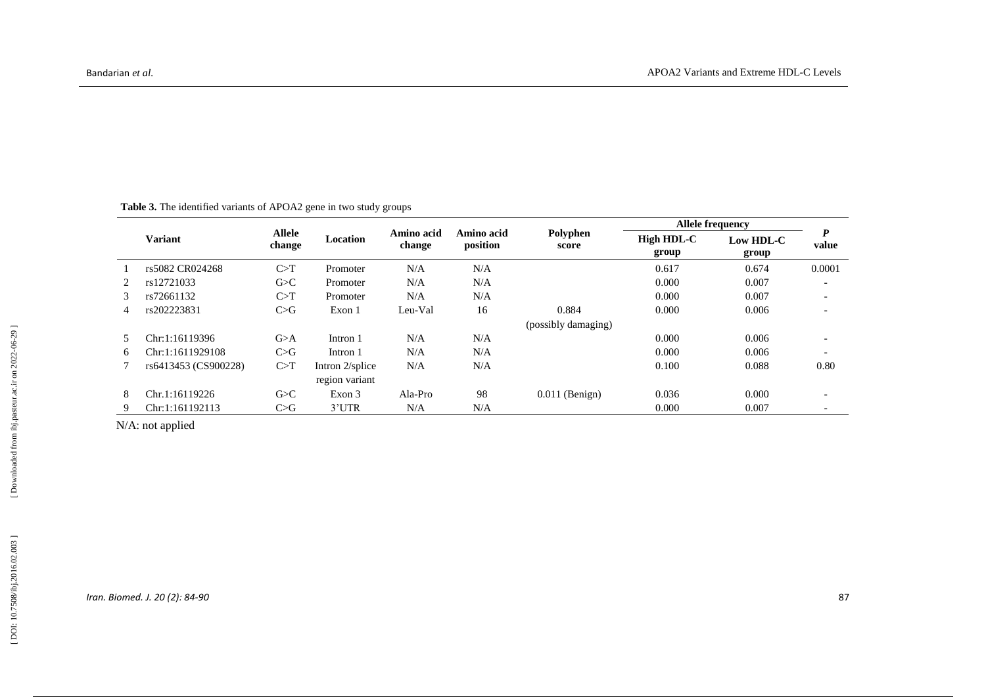|   | <b>Table 3.</b> The identified variants of APOA2 gene in two study groups |                                     |                 |                      |                         |                     |                     |                    |                           |  |  |
|---|---------------------------------------------------------------------------|-------------------------------------|-----------------|----------------------|-------------------------|---------------------|---------------------|--------------------|---------------------------|--|--|
|   |                                                                           | <b>Allele</b><br>Location<br>change |                 |                      | <b>Allele frequency</b> |                     |                     |                    |                           |  |  |
|   | <b>Variant</b>                                                            |                                     |                 | Amino acid<br>change | Amino acid<br>position  | Polyphen<br>score   | High HDL-C<br>group | Low HDL-C<br>group | $\boldsymbol{P}$<br>value |  |  |
|   | rs5082 CR024268                                                           | C>T                                 | Promoter        | N/A                  | N/A                     |                     | 0.617               | 0.674              | 0.0001                    |  |  |
| 2 | rs12721033                                                                | G>C                                 | Promoter        | N/A                  | N/A                     |                     | 0.000               | 0.007              |                           |  |  |
| 3 | rs72661132                                                                | C>T                                 | Promoter        | N/A                  | N/A                     |                     | 0.000               | 0.007              |                           |  |  |
| 4 | rs202223831                                                               | C>G                                 | Exon 1          | Leu-Val              | 16                      | 0.884               | 0.000               | 0.006              |                           |  |  |
|   |                                                                           |                                     |                 |                      |                         | (possibly damaging) |                     |                    |                           |  |  |
| 5 | Chr:1:16119396                                                            | G>A                                 | Intron 1        | N/A                  | N/A                     |                     | 0.000               | 0.006              |                           |  |  |
| 6 | Chr:1:1611929108                                                          | C>G                                 | Intron 1        | N/A                  | N/A                     |                     | 0.000               | 0.006              |                           |  |  |
|   | rs6413453 (CS900228)                                                      | C>T                                 | Intron 2/splice | N/A                  | N/A                     |                     | 0.100               | 0.088              | 0.80                      |  |  |
|   |                                                                           |                                     | region variant  |                      |                         |                     |                     |                    |                           |  |  |
| 8 | Chr.1:16119226                                                            | G>C                                 | Exon 3          | Ala-Pro              | 98                      | $0.011$ (Benign)    | 0.036               | 0.000              |                           |  |  |
| 9 | Chr:1:161192113                                                           | C>G                                 | 3'UTR           | N/A                  | N/A                     |                     | 0.000               | 0.007              |                           |  |  |

N/A: not applied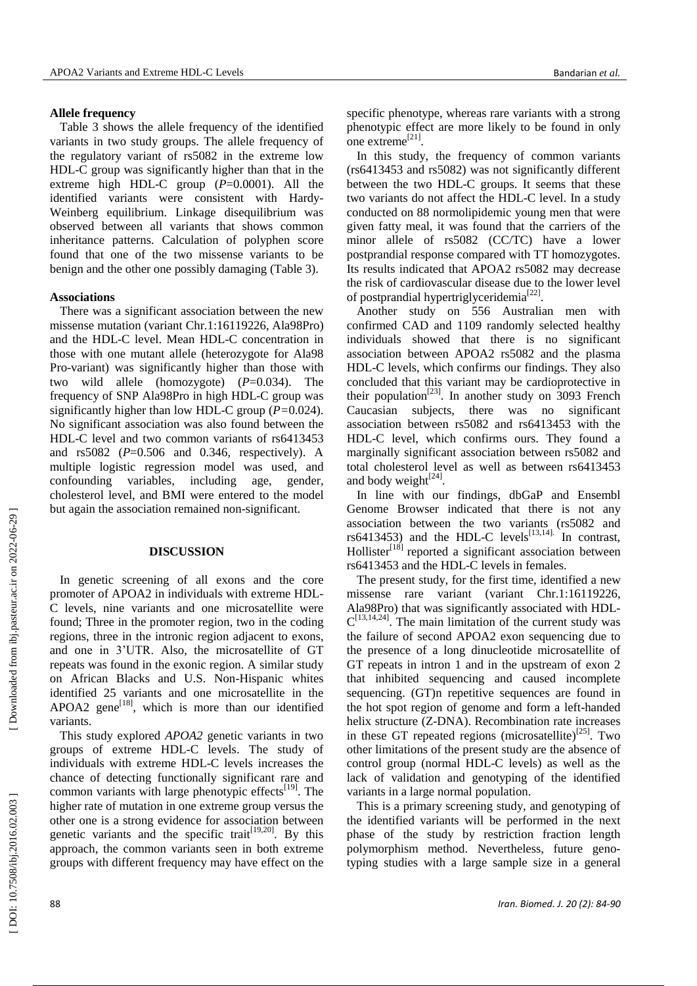## **Allele frequency**

Table 3 shows the allele frequency of the identified variants in two study groups. The allele frequency of the regulatory variant of rs5082 in the extreme low HDL -C group was significantly higher than that in the extreme high HDL-C group  $(P=0.0001)$ . All the identified variants were consistent with Hardy - Weinberg equilibrium . Linkage disequilibrium was observed between all variants that shows common inheritance patterns. Calculation of polyphen score found that one of the two missense variants to be benign and the other one possibly damaging (Table 3).

### **Associations**

There was a significant association between the new missense mutation (variant Chr.1:16119226, Ala9[8Pro\)](http://en.wikipedia.org/wiki/Proline) and the HDL -C level. Mean HDL -C concentration in those with one mutant allele (heterozygote for Ala98 Pro -variant) was significantly higher than those with two wild allele (homozygote) ( *P* =0.034). The frequency of SNP Ala9[8Pro](http://en.wikipedia.org/wiki/Proline) in high HDL -C group was significantly higher than low HDL -C group ( *P =*0.024). No significant association was also found between the HDL -C level and two common variants of rs6413453 and rs5082 ( *P* =0.506 and 0.346, respectively). A multiple logistic regression model was used , and confounding variables including age, gender, cholesterol level , and BMI were entered to the model but again the association remained non -significant.

# **DISCUSSION**

In genetic screening of all exons and the core promoter of APOA2 in individuals with extreme HDL - C levels, nine variants and one microsatellite were found; Three in the promoter region, two in the coding regions, three in the intronic region adjacent to exons , and one in 3'UTR. Also, the microsatellite of GT repeats was found in the exonic region. A similar study on African Blacks and U.S. Non -Hispanic whites identified 25 variants and one microsatellite in the APOA2 gene<sup>[18]</sup>, which is more than our identified variants .

This study explored *APOA2* genetic variants in two groups of extreme HDL -C levels. The study of individuals with extreme HDL -C levels increases the chance of detecting functionally significant rare and common variants with large phenotypic effects<sup>[19]</sup>. The higher rate of mutation in one extreme group versus the other one is a strong evidence for association between genetic variants and the specific trait<sup>[19,20]</sup>. By this approach , the common variants seen in both extreme groups with different frequency may have effect on the

specific phenotype, whereas rare variant s with a strong phenotypic effect are more likely to be found in only one extreme<sup>[21]</sup>.

In this study, the frequency of common variants (rs6413453 and rs5082) was not significantly different between the two HDL -C groups. It seems that these two variants do not affect the HDL -C level. In a study conducted on 88 normolipidemic young men that were given fatty meal, it was found that the carriers of the minor allele of rs5082 (CC/TC) have a lower postprandial response compared with TT homozygotes. Its results indicated that APOA2 rs5082 may decrease the risk of cardiovascular disease due to the lower level of postprandial hypertriglyceridemia<sup>[22]</sup>.

Another study on 556 Australian men with confirmed CAD and 1109 randomly selected healthy individuals showed that there is no significant association between APOA2 rs5082 and the plasma HDL - C levels, which confirm s our finding s. They also concluded that this variant may be cardioprotective in their population<sup>[23]</sup>. In another study on  $3093$  French Caucasian subjects, there was no significant association between rs5082 and rs6413453 with the HDL - C level , which confirm s ours. They found a marginally significant association between rs5082 and total cholesterol level as well as between rs6413453 and body weight $^{[24]}$ .

In line with our findings, dbGaP and [Ensembl](http://www.google.com/url?sa=t&rct=j&q=ensemble%20genom%20browser&source=web&cd=1&cad=rja&ved=0CDMQFjAA&url=http%3A%2F%2Fwww.ensembl.org%2F&ei=Bu1GUb3_Juve7Abj5YC4Aw&usg=AFQjCNGHhk3qfjBABj-L6-4K4bwBW8fbow&bvm=bv.43828540,d.d2k)  [Genome Browser](http://www.google.com/url?sa=t&rct=j&q=ensemble%20genom%20browser&source=web&cd=1&cad=rja&ved=0CDMQFjAA&url=http%3A%2F%2Fwww.ensembl.org%2F&ei=Bu1GUb3_Juve7Abj5YC4Aw&usg=AFQjCNGHhk3qfjBABj-L6-4K4bwBW8fbow&bvm=bv.43828540,d.d2k) indicated that there is not any association between the two variants (rs5082 and rs6413453) and the HDL-C levels<sup>[13,14]</sup> In contrast, Hollister<sup>[18]</sup> reported a significant association between rs6413453 and the HDL -C level s in females.

Th e present study, for the first time, identified a new missense rare variant (variant Chr.1:16119226, Ala9[8Pro\)](http://en.wikipedia.org/wiki/Proline) that was significantly associated with HDL -  $C^{[13,14,24]}$ . The main limitation of the current study was the failure of second APOA2 exon sequencing due to the presence of a long dinucleotide microsatellite of GT repeat s in intron 1 and in the upstream of exon 2 that inhibited sequencing and caused incomplete sequencing . (GT)n repetitive sequences are found in the hot spot region of genome and form a left -handed helix structure (Z -DNA). Recombination rate increases in these GT repeated regions (microsatellite)<sup>[25]</sup>. Two other limitations of the present study are the absence of control group (normal HDL -C levels) as well as the lack of validation and genotyping of the identified variants in a large normal population.

This is a primary screening study , and genotyping of the identified variants will be performed in the next phase of the study by restriction fraction length polymorphism method. Nevertheless, future geno typing studies with a large sample size in a general

DOI: 10.7508/ibj.2016.02.003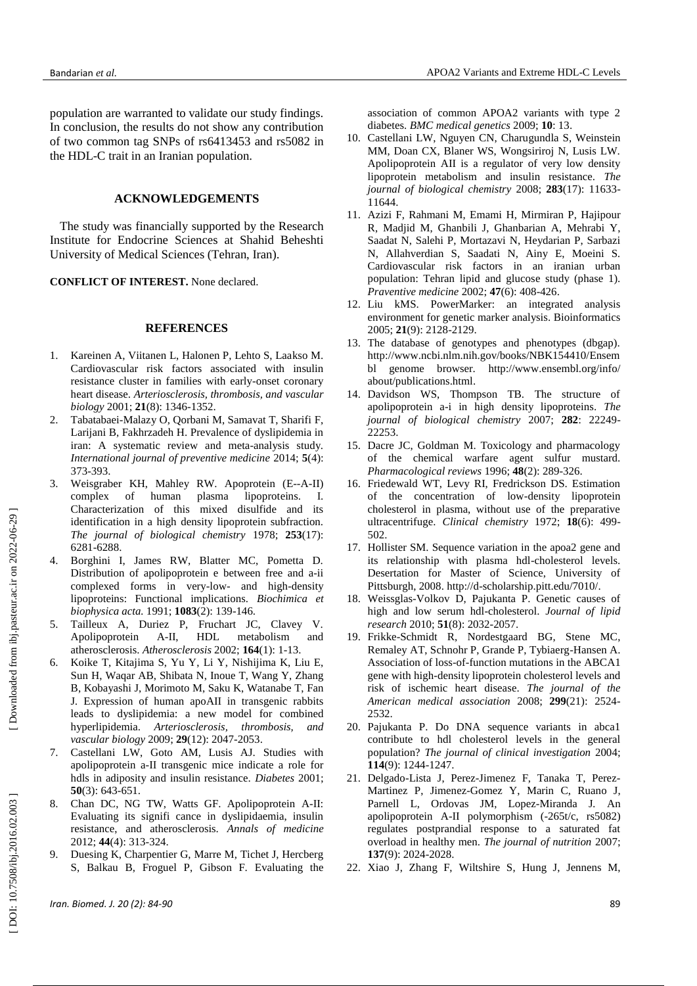population are warranted to validate our study findings. In conclusion, the results do not show any contribution of two common tag SNPs of rs6413453 and rs5082 in the HDL -C trait in an Iranian population.

## **ACKNOWLEDGEMENT S**

The study was financially supported by the Research Institute for Endocrine Sciences at Shahid Beheshti University of Medical Sciences (Tehran, Iran) .

**CONFLICT OF INTEREST.** None declared.

#### **REFERENCES**

- 1 . Kareinen A, Viitanen L, Halonen P, Lehto S, Laakso M. Cardiovascular risk factors associated with insulin resistance cluster in families with early -onset coronary heart disease. *Arteriosclerosis, thrombosis, and vascular biology* 2001; **21**(8) : 1346 -1352.
- $2^{\circ}$ . Tabatabaei -Malazy O, Qorbani M, Samavat T, Sharifi F, Larijani B, Fakhrzadeh H. Prevalence of dyslipidemia in iran: A systematic review and meta -analysis study. *International journal of preventive medicine* 2014; **5**(4) : 373 - 393.
- 3. . Weisgraber KH, Mahley RW. Apoprotein (E--A-II) complex of human plasma lipoproteins. I. Characterization of this mixed disulfide and its identification in a high density lipoprotein subfraction. *The journal of biological chemistry* 1978; **253**(17) : 6281 -6288.
- 4 . Borghini I, James RW, Blatter MC, Pometta D. Distribution of apolipoprotein e between free and a -ii complexed forms in very -low - and high -density lipoproteins: Functional implications. *Biochimica et biophysica acta.* 1991; **<sup>1083</sup>**(2): 139-146.
- 5 . Tailleux A, Duriez P, Fruchart JC, Clavey V. Apolipoprotein  $A-II$ , HDL metabolism and atherosclerosis. *Atherosclerosis* 2002; **164**(1) : 1 -13.
- 6 . Koike T, Kitajima S, Yu Y , [Li Y,](http://www.ncbi.nlm.nih.gov/pubmed/?term=Li%20Y%5BAuthor%5D&cauthor=true&cauthor_uid=19778946) [Nishijima K,](http://www.ncbi.nlm.nih.gov/pubmed/?term=Nishijima%20K%5BAuthor%5D&cauthor=true&cauthor_uid=19778946) [Liu E,](http://www.ncbi.nlm.nih.gov/pubmed/?term=Liu%20E%5BAuthor%5D&cauthor=true&cauthor_uid=19778946) [Sun H](http://www.ncbi.nlm.nih.gov/pubmed/?term=Sun%20H%5BAuthor%5D&cauthor=true&cauthor_uid=19778946) , [Waqar AB,](http://www.ncbi.nlm.nih.gov/pubmed/?term=Waqar%20AB%5BAuthor%5D&cauthor=true&cauthor_uid=19778946) [Shibata N,](http://www.ncbi.nlm.nih.gov/pubmed/?term=Shibata%20N%5BAuthor%5D&cauthor=true&cauthor_uid=19778946) [Inoue T](http://www.ncbi.nlm.nih.gov/pubmed/?term=Inoue%20T%5BAuthor%5D&cauthor=true&cauthor_uid=19778946) , [Wang Y,](http://www.ncbi.nlm.nih.gov/pubmed/?term=Wang%20Y%5BAuthor%5D&cauthor=true&cauthor_uid=19778946) [Zhang](http://www.ncbi.nlm.nih.gov/pubmed/?term=Zhang%20B%5BAuthor%5D&cauthor=true&cauthor_uid=19778946)  [B,](http://www.ncbi.nlm.nih.gov/pubmed/?term=Zhang%20B%5BAuthor%5D&cauthor=true&cauthor_uid=19778946) [Kobayashi J,](http://www.ncbi.nlm.nih.gov/pubmed/?term=Kobayashi%20J%5BAuthor%5D&cauthor=true&cauthor_uid=19778946) [Morimoto M](http://www.ncbi.nlm.nih.gov/pubmed/?term=Morimoto%20M%5BAuthor%5D&cauthor=true&cauthor_uid=19778946) , [Saku K,](http://www.ncbi.nlm.nih.gov/pubmed/?term=Saku%20K%5BAuthor%5D&cauthor=true&cauthor_uid=19778946) [Watanabe T,](http://www.ncbi.nlm.nih.gov/pubmed/?term=Watanabe%20T%5BAuthor%5D&cauthor=true&cauthor_uid=19778946) [Fan](http://www.ncbi.nlm.nih.gov/pubmed/?term=Fan%20J%5BAuthor%5D&cauthor=true&cauthor_uid=19778946)  [J](http://www.ncbi.nlm.nih.gov/pubmed/?term=Fan%20J%5BAuthor%5D&cauthor=true&cauthor_uid=19778946) *.* Expression of human apoAII in transgenic rabbits leads to dyslipidemia: a new model for combined hyperlipidemia. *Arteriosclerosis, thrombosis, and vascular biology* 2009; **29**(12) : 2047 -2053.
- 7 . Castellani LW, Goto AM, Lusis AJ. Studies with apolipoprotein a -II transgenic mice indicate a role for hdls in adiposity and insulin resistance. *Diabetes* 2001; **50**(3): 643-651.
- 8 . Chan DC, NG TW, Watts GF. Apolipoprotein A -II: Evaluating its signifi cance in dyslipidaemia, insulin resistance, and atherosclerosis. *Annals of medicine*  2012; **44**(4) : 313 - 324.
- 9. . Duesing K, Charpentier G, Marre M , Tichet J, Hercberg S, Balkau B, Froguel P, Gibson F. Evaluating the

association of common APOA2 variants with type 2 diabetes. *BMC medical genetics* 2009; **10** : 13.

- 10 . Castellani LW, Nguyen CN, Charugundla S, Weinstein MM, Doan CX, Blaner WS, Wongsiriroj N, Lusis LW. Apolipoprotein AII is a regulator of very low density lipoprotein metabolism and insulin resistance. *The journal of biological chemistry* 2008; **283**(17) : 11633 - 11644.
- 11 . Azizi F, Rahmani M, Emami H, [Mirmiran P](http://www.ncbi.nlm.nih.gov/pubmed/?term=Mirmiran%20P%5BAuthor%5D&cauthor=true&cauthor_uid=12643001) , [Hajipour](http://www.ncbi.nlm.nih.gov/pubmed/?term=Hajipour%20R%5BAuthor%5D&cauthor=true&cauthor_uid=12643001)  [R,](http://www.ncbi.nlm.nih.gov/pubmed/?term=Hajipour%20R%5BAuthor%5D&cauthor=true&cauthor_uid=12643001) [Madjid M,](http://www.ncbi.nlm.nih.gov/pubmed/?term=Madjid%20M%5BAuthor%5D&cauthor=true&cauthor_uid=12643001) [Ghanbili J,](http://www.ncbi.nlm.nih.gov/pubmed/?term=Ghanbili%20J%5BAuthor%5D&cauthor=true&cauthor_uid=12643001) [Ghanbarian A,](http://www.ncbi.nlm.nih.gov/pubmed/?term=Ghanbarian%20A%5BAuthor%5D&cauthor=true&cauthor_uid=12643001) [Mehrabi](http://www.ncbi.nlm.nih.gov/pubmed/?term=Mehrabi%20Y%5BAuthor%5D&cauthor=true&cauthor_uid=12643001) Y, [Saadat N,](http://www.ncbi.nlm.nih.gov/pubmed/?term=Saadat%20N%5BAuthor%5D&cauthor=true&cauthor_uid=12643001) [Salehi P,](http://www.ncbi.nlm.nih.gov/pubmed/?term=Salehi%20P%5BAuthor%5D&cauthor=true&cauthor_uid=12643001) [Mortazavi N,](http://www.ncbi.nlm.nih.gov/pubmed/?term=Mortazavi%20N%5BAuthor%5D&cauthor=true&cauthor_uid=12643001) [Heydarian P](http://www.ncbi.nlm.nih.gov/pubmed/?term=Heydarian%20P%5BAuthor%5D&cauthor=true&cauthor_uid=12643001) , [Sarbazi](http://www.ncbi.nlm.nih.gov/pubmed/?term=Sarbazi%20N%5BAuthor%5D&cauthor=true&cauthor_uid=12643001)  [N,](http://www.ncbi.nlm.nih.gov/pubmed/?term=Sarbazi%20N%5BAuthor%5D&cauthor=true&cauthor_uid=12643001) [Allahverdian S,](http://www.ncbi.nlm.nih.gov/pubmed/?term=Allahverdian%20S%5BAuthor%5D&cauthor=true&cauthor_uid=12643001) [Saadati N,](http://www.ncbi.nlm.nih.gov/pubmed/?term=Saadati%20N%5BAuthor%5D&cauthor=true&cauthor_uid=12643001) [Ainy E,](http://www.ncbi.nlm.nih.gov/pubmed/?term=Ainy%20E%5BAuthor%5D&cauthor=true&cauthor_uid=12643001) [Moeini S](http://www.ncbi.nlm.nih.gov/pubmed/?term=Moeini%20S%5BAuthor%5D&cauthor=true&cauthor_uid=12643001) *.* Cardiovascular risk factors in an iranian urban population: Tehran lipid and glucose study (phase 1). *Praventive medicine* 2002; **47**(6) : 408 - 426.
- 12 . Liu kMS. Power Marker: an integrated analysis environment for genetic marker analysis . Bioinformatics 2005; **21**(9) : 2 128 -2129.
- 13 . The database of genotypes and phenotypes (dbgap). http://www.ncbi.nlm.nih.gov/books/NBK154410/Ensem bl genome browser. http://www.ensembl.org/info/ about/publications.html .
- 14 . Davidson WS, Thompson TB. The structure of apolipoprotein a -i in high density lipoproteins. *The journal of biological chemistry* 2007; **282** : 22249 - 22253.
- 15 . Dacre JC, Goldman M. Toxicology and pharmacology of the chemical warfare agent sulfur mustard. *Pharmacological reviews* 1996; **48**(2) : 289 -326.
- 16 . Friedewald WT, Levy RI, Fredrickson DS. Estimation of the concentration of low -density lipoprotein cholesterol in plasma, without use of the preparative ultracentrifuge. *Clinical chemistry* 1972; **18**(6) : 499 - 502.
- 17 . Hollister SM. Sequence variation in the apoa2 gene and its relationship with plasma hdl -cholesterol levels. Desertation for Master of Science, University of Pittsburgh, 2008. http://d-scholarship.pitt.edu/7010/.
- 18 . Weissglas -Volkov D, Pajukanta P. Genetic causes of high and low serum hdl -cholesterol. *Journal of lipid research* 2010; **51**(8) : 2032 -2057.
- 19 . Frikke -Schmidt R, Nordestgaard BG, Stene MC, Remaley AT, Schnohr P, Grande P, Tybiaerg -Hansen A. Association of loss -of-function mutations in the ABCA1 gene with high -density lipoprotein cholesterol levels and risk of ischemic heart disease. *The journal of the American medical association* 2008; **299**(21) : 2524 - 2532.
- 20 . Pajukanta P. Do DNA sequence variants in abca1 contribute to hdl cholesterol levels in the general population? *The journal of clinical investigation* 2004; **114**(9) : 1244 -1247.
- 21 . Delgado -Lista J, Perez -Jimenez F, Tanaka T, [Perez](http://www.ncbi.nlm.nih.gov/pubmed/?term=Perez-Martinez%20P%5BAuthor%5D&cauthor=true&cauthor_uid=17709437) [Martinez P](http://www.ncbi.nlm.nih.gov/pubmed/?term=Perez-Martinez%20P%5BAuthor%5D&cauthor=true&cauthor_uid=17709437) , Jimenez [-Gomez Y,](http://www.ncbi.nlm.nih.gov/pubmed/?term=Jimenez-Gomez%20Y%5BAuthor%5D&cauthor=true&cauthor_uid=17709437) [Marin C,](http://www.ncbi.nlm.nih.gov/pubmed/?term=Marin%20C%5BAuthor%5D&cauthor=true&cauthor_uid=17709437) [Ruano J,](http://www.ncbi.nlm.nih.gov/pubmed/?term=Ruano%20J%5BAuthor%5D&cauthor=true&cauthor_uid=17709437) [Parnell L,](http://www.ncbi.nlm.nih.gov/pubmed/?term=Parnell%20L%5BAuthor%5D&cauthor=true&cauthor_uid=17709437) [Ordovas JM,](http://www.ncbi.nlm.nih.gov/pubmed/?term=Ordovas%20JM%5BAuthor%5D&cauthor=true&cauthor_uid=17709437) Lopez [-Miranda J](http://www.ncbi.nlm.nih.gov/pubmed/?term=Lopez-Miranda%20J%5BAuthor%5D&cauthor=true&cauthor_uid=17709437) *.* An apolipoprotein A -II polymorphism ( -265t/c, rs5082) regulates postprandial response to a saturated fat overload in healthy men. *The journal of nutrition* 2007; **137**(9) : 2024 -2028.
- 22. Xiao J, Zhang F, Wiltshire S, [Hung J](http://www.ncbi.nlm.nih.gov/pubmed/?term=Hung%20J%5BAuthor%5D&cauthor=true&cauthor_uid=18179799), [Jennens M](http://www.ncbi.nlm.nih.gov/pubmed/?term=Jennens%20M%5BAuthor%5D&cauthor=true&cauthor_uid=18179799),